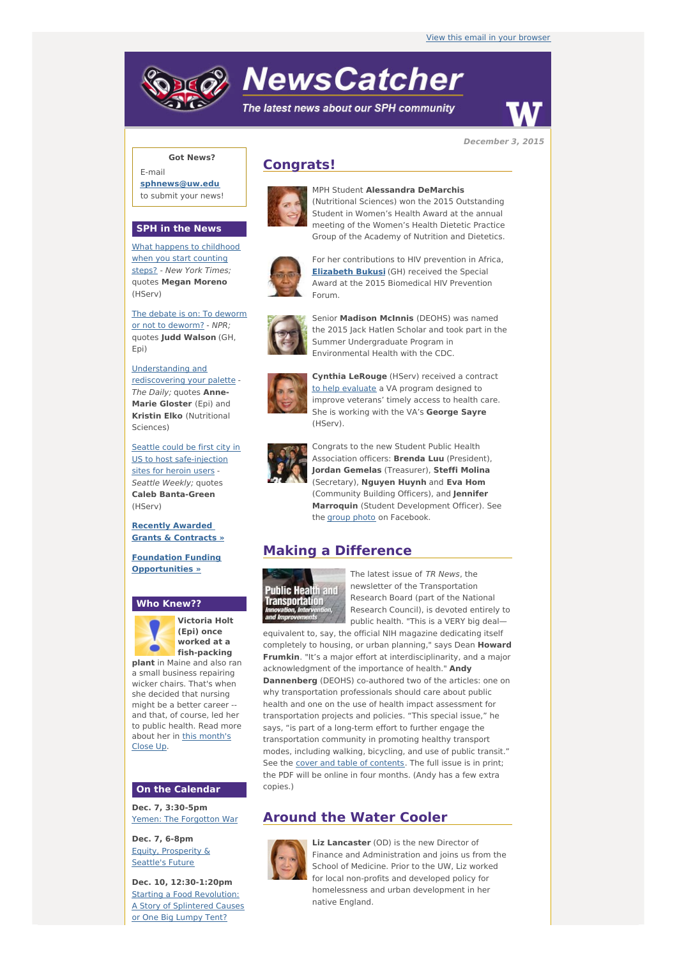# **NewsCatcher**

The latest news about our SPH community



**December 3, 2015**

## **Got News?**

E-mail **[sphnews@uw.edu](mailto:sphnews@uw.edu)** to submit your news!

## **SPH in the News**

What happens to [childhood](http://engage.washington.edu/site/R?i=QM7jJhXv2O8G4ey0M2nTkw) when you start counting steps? - New York Times; quotes **Megan Moreno** (HServ)

The debate is on: To deworm or not to [deworm?](http://engage.washington.edu/site/R?i=pc8qwI9-NucF4XV4BT1mjg) - NPR; quotes **Judd Walson** (GH, Epi)

[Understanding](http://engage.washington.edu/site/R?i=WJC-uFb6EHnLzwVH-vG_tg) and rediscovering your palette - The Daily; quotes **Anne-Marie Gloster** (Epi) and **Kristin Elko** (Nutritional Sciences)

Seattle could be first city in US to host [safe-injection](http://engage.washington.edu/site/R?i=PWLiP7Qx7XInz8q6BRQN6w) sites for heroin users - Seattle Weekly; quotes **Caleb Banta-Green** (HServ)

#### **Recently Awarded Grants & [Contracts](http://engage.washington.edu/site/R?i=esavqucf0kH45xcZcdSiXA) »**

**Foundation Funding [Opportunities](http://engage.washington.edu/site/R?i=OKFdR1-zkgK8TSNXtmks2A) »**

## **Who Knew??**



**(Epi) once worked at a fish-packing plant** in Maine and also ran

a small business repairing wicker chairs. That's when she decided that nursing might be a better career - and that, of course, led her to public health. Read more about her in this [month's](http://engage.washington.edu/site/R?i=QDFWU_B_ECTlbwSjX5VN3g) Close Up.

## **On the Calendar**

**Dec. 7, 3:30-5pm** Yemen: The [Forgotton](http://engage.washington.edu/site/R?i=bgzQSLJZCartPJdQR-_DSw) War

**Dec. 7, 6-8pm** Equity, [Prosperity](http://engage.washington.edu/site/R?i=RCfpqbqJXlT7Q6CIkVbBqQ) & Seattle's Future

**Dec. 10, 12:30-1:20pm** Starting a Food [Revolution:](http://engage.washington.edu/site/R?i=EiwyEPwENE1GLisfwiqPAA) A Story of Splintered Causes or One Big Lumpy Tent?

# **Congrats!**



MPH Student **Alessandra DeMarchis** (Nutritional Sciences) won the 2015 Outstanding Student in Women's Health Award at the annual meeting of the Women's Health Dietetic Practice Group of the Academy of Nutrition and Dietetics.



For her contributions to HIV prevention in Africa, **[Elizabeth](http://engage.washington.edu/site/R?i=xajXbJGKdhueO0MktEciuA) Bukusi** (GH) received the Special Award at the 2015 Biomedical HIV Prevention Forum.



Senior **Madison McInnis** (DEOHS) was named the 2015 Jack Hatlen Scholar and took part in the Summer Undergraduate Program in Environmental Health with the CDC.



**Cynthia LeRouge** (HServ) received a contract to help [evaluate](http://engage.washington.edu/site/R?i=wGeddqV6kbqbIoRdhWA37Q) a VA program designed to improve veterans' timely access to health care. She is working with the VA's **George Sayre** (HServ).



Congrats to the new Student Public Health Association officers: **Brenda Luu** (President), **Jordan Gemelas** (Treasurer), **Steffi Molina** (Secretary), **Nguyen Huynh** and **Eva Hom** (Community Building Officers), and **Jennifer Marroquin** (Student Development Officer). See the [group](http://engage.washington.edu/site/R?i=YeU6IJX-uApaF830Iq2Naw) photo on Facebook.

# **Making a Difference**



The latest issue of TR News, the newsletter of the Transportation Research Board (part of the National Research Council), is devoted entirely to public health. "This is a VERY big deal—

equivalent to, say, the official NIH magazine dedicating itself completely to housing, or urban planning," says Dean **Howard Frumkin**. "It's a major effort at interdisciplinarity, and a major acknowledgment of the importance of health." **Andy Dannenberg** (DEOHS) co-authored two of the articles: one on why transportation professionals should care about public health and one on the use of health impact assessment for transportation projects and policies. "This special issue," he says, "is part of a long-term effort to further engage the transportation community in promoting healthy transport modes, including walking, bicycling, and use of public transit." See the cover and table of [contents](http://engage.washington.edu/site/R?i=tFpv8KEfLC0HpZLud0PFRA). The full issue is in print; the PDF will be online in four months. (Andy has a few extra copies.)

## **Around the Water Cooler**



**Liz Lancaster** (OD) is the new Director of Finance and Administration and joins us from the School of Medicine. Prior to the UW, Liz worked for local non-profits and developed policy for homelessness and urban development in her native England.